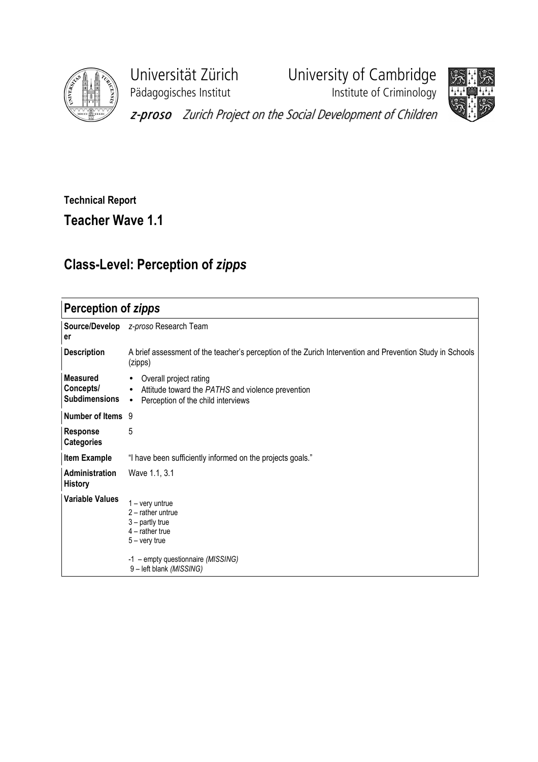

Universität Zürich<br>
Pädagogisches Institut<br>
Institute of Criminology **Paragonisches Institute of Criminology** 



z-proso Zurich Project on the Social Development of Children

## Technical Report

Teacher Wave 1.1

## Class-Level: Perception of zipps

## Perception of zipps

| Source/Develop<br>er                                 | z-proso Research Team                                                                                                                                               |
|------------------------------------------------------|---------------------------------------------------------------------------------------------------------------------------------------------------------------------|
| <b>Description</b>                                   | A brief assessment of the teacher's perception of the Zurich Intervention and Prevention Study in Schools<br>(zipps)                                                |
| <b>Measured</b><br>Concepts/<br><b>Subdimensions</b> | Overall project rating<br>$\bullet$<br>Attitude toward the PATHS and violence prevention<br>$\bullet$<br>Perception of the child interviews<br>$\bullet$            |
| Number of Items 9                                    |                                                                                                                                                                     |
| <b>Response</b><br><b>Categories</b>                 | 5                                                                                                                                                                   |
| <b>Item Example</b>                                  | "I have been sufficiently informed on the projects goals."                                                                                                          |
| Administration<br><b>History</b>                     | Wave 1.1, 3.1                                                                                                                                                       |
| <b>Variable Values</b>                               | 1 – very untrue<br>$2$ – rather untrue<br>$3$ – partly true<br>$4$ – rather true<br>$5 -$ very true<br>-1 - empty questionnaire (MISSING)<br>9-left blank (MISSING) |